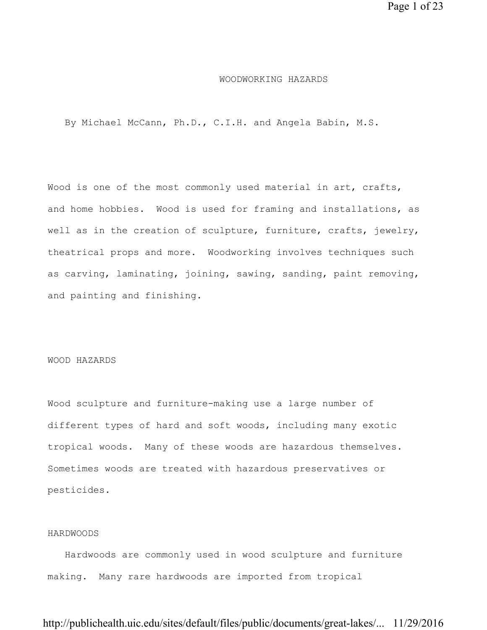#### WOODWORKING HAZARDS

By Michael McCann, Ph.D., C.I.H. and Angela Babin, M.S.

Wood is one of the most commonly used material in art, crafts, and home hobbies. Wood is used for framing and installations, as well as in the creation of sculpture, furniture, crafts, jewelry, theatrical props and more. Woodworking involves techniques such as carving, laminating, joining, sawing, sanding, paint removing, and painting and finishing.

#### WOOD HAZARDS

Wood sculpture and furniture-making use a large number of different types of hard and soft woods, including many exotic tropical woods. Many of these woods are hazardous themselves. Sometimes woods are treated with hazardous preservatives or pesticides.

#### HARDWOODS

 Hardwoods are commonly used in wood sculpture and furniture making. Many rare hardwoods are imported from tropical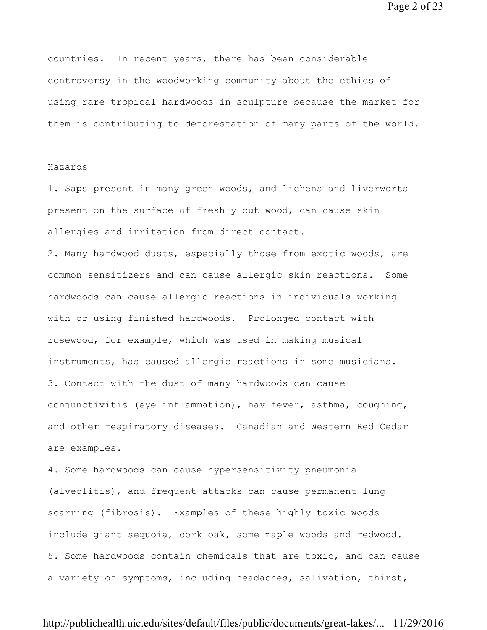Page 2 of 23

countries. In recent years, there has been considerable controversy in the woodworking community about the ethics of using rare tropical hardwoods in sculpture because the market for them is contributing to deforestation of many parts of the world.

### Hazards

1. Saps present in many green woods, and lichens and liverworts present on the surface of freshly cut wood, can cause skin allergies and irritation from direct contact.

2. Many hardwood dusts, especially those from exotic woods, are common sensitizers and can cause allergic skin reactions. Some hardwoods can cause allergic reactions in individuals working with or using finished hardwoods. Prolonged contact with rosewood, for example, which was used in making musical instruments, has caused allergic reactions in some musicians. 3. Contact with the dust of many hardwoods can cause conjunctivitis (eye inflammation), hay fever, asthma, coughing, and other respiratory diseases. Canadian and Western Red Cedar are examples.

4. Some hardwoods can cause hypersensitivity pneumonia (alveolitis), and frequent attacks can cause permanent lung scarring (fibrosis). Examples of these highly toxic woods include giant sequoia, cork oak, some maple woods and redwood. 5. Some hardwoods contain chemicals that are toxic, and can cause a variety of symptoms, including headaches, salivation, thirst,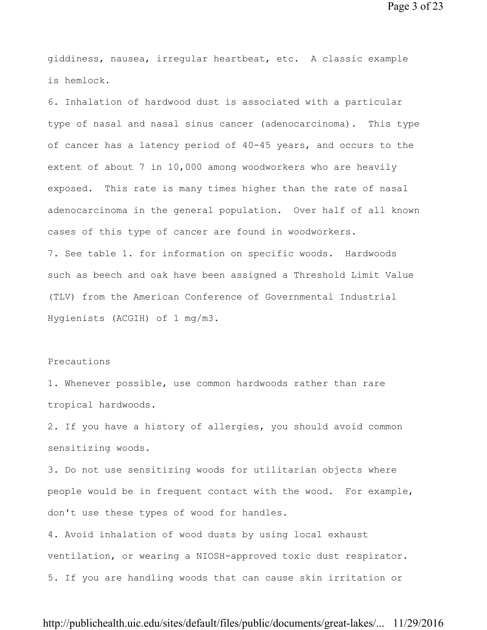Page 3 of 23

giddiness, nausea, irregular heartbeat, etc. A classic example is hemlock.

6. Inhalation of hardwood dust is associated with a particular type of nasal and nasal sinus cancer (adenocarcinoma). This type of cancer has a latency period of 40-45 years, and occurs to the extent of about 7 in 10,000 among woodworkers who are heavily exposed. This rate is many times higher than the rate of nasal adenocarcinoma in the general population. Over half of all known cases of this type of cancer are found in woodworkers. 7. See table 1. for information on specific woods. Hardwoods such as beech and oak have been assigned a Threshold Limit Value (TLV) from the American Conference of Governmental Industrial Hygienists (ACGIH) of 1 mg/m3.

### Precautions

1. Whenever possible, use common hardwoods rather than rare tropical hardwoods.

2. If you have a history of allergies, you should avoid common sensitizing woods.

3. Do not use sensitizing woods for utilitarian objects where people would be in frequent contact with the wood. For example, don't use these types of wood for handles.

4. Avoid inhalation of wood dusts by using local exhaust ventilation, or wearing a NIOSH-approved toxic dust respirator. 5. If you are handling woods that can cause skin irritation or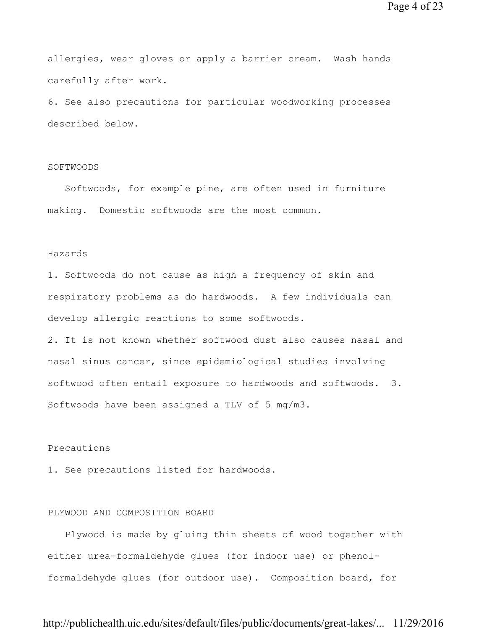allergies, wear gloves or apply a barrier cream. Wash hands carefully after work.

6. See also precautions for particular woodworking processes described below.

### SOFTWOODS

 Softwoods, for example pine, are often used in furniture making. Domestic softwoods are the most common.

#### Hazards

1. Softwoods do not cause as high a frequency of skin and respiratory problems as do hardwoods. A few individuals can develop allergic reactions to some softwoods.

2. It is not known whether softwood dust also causes nasal and nasal sinus cancer, since epidemiological studies involving softwood often entail exposure to hardwoods and softwoods. 3. Softwoods have been assigned a TLV of 5 mg/m3.

### Precautions

1. See precautions listed for hardwoods.

### PLYWOOD AND COMPOSITION BOARD

 Plywood is made by gluing thin sheets of wood together with either urea-formaldehyde glues (for indoor use) or phenolformaldehyde glues (for outdoor use). Composition board, for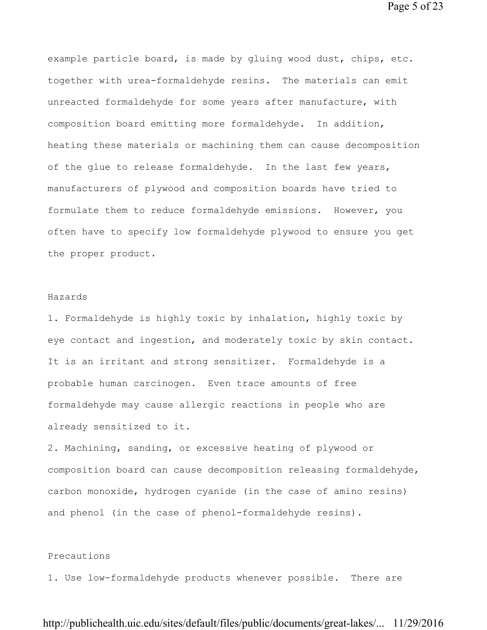example particle board, is made by gluing wood dust, chips, etc. together with urea-formaldehyde resins. The materials can emit unreacted formaldehyde for some years after manufacture, with composition board emitting more formaldehyde. In addition, heating these materials or machining them can cause decomposition of the glue to release formaldehyde. In the last few years, manufacturers of plywood and composition boards have tried to formulate them to reduce formaldehyde emissions. However, you often have to specify low formaldehyde plywood to ensure you get the proper product.

#### Hazards

1. Formaldehyde is highly toxic by inhalation, highly toxic by eye contact and ingestion, and moderately toxic by skin contact. It is an irritant and strong sensitizer. Formaldehyde is a probable human carcinogen. Even trace amounts of free formaldehyde may cause allergic reactions in people who are already sensitized to it.

2. Machining, sanding, or excessive heating of plywood or composition board can cause decomposition releasing formaldehyde, carbon monoxide, hydrogen cyanide (in the case of amino resins) and phenol (in the case of phenol-formaldehyde resins).

### Precautions

1. Use low-formaldehyde products whenever possible. There are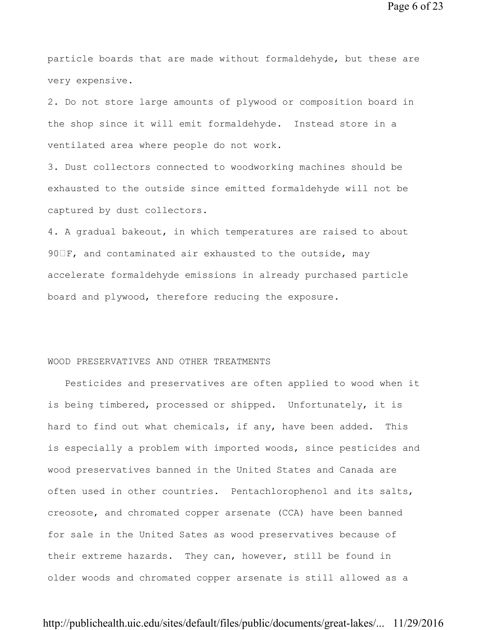Page 6 of 23

particle boards that are made without formaldehyde, but these are very expensive.

2. Do not store large amounts of plywood or composition board in the shop since it will emit formaldehyde. Instead store in a ventilated area where people do not work.

3. Dust collectors connected to woodworking machines should be exhausted to the outside since emitted formaldehyde will not be captured by dust collectors.

4. A gradual bakeout, in which temperatures are raised to about 90 F, and contaminated air exhausted to the outside, may accelerate formaldehyde emissions in already purchased particle board and plywood, therefore reducing the exposure.

#### WOOD PRESERVATIVES AND OTHER TREATMENTS

 Pesticides and preservatives are often applied to wood when it is being timbered, processed or shipped. Unfortunately, it is hard to find out what chemicals, if any, have been added. This is especially a problem with imported woods, since pesticides and wood preservatives banned in the United States and Canada are often used in other countries. Pentachlorophenol and its salts, creosote, and chromated copper arsenate (CCA) have been banned for sale in the United Sates as wood preservatives because of their extreme hazards. They can, however, still be found in older woods and chromated copper arsenate is still allowed as a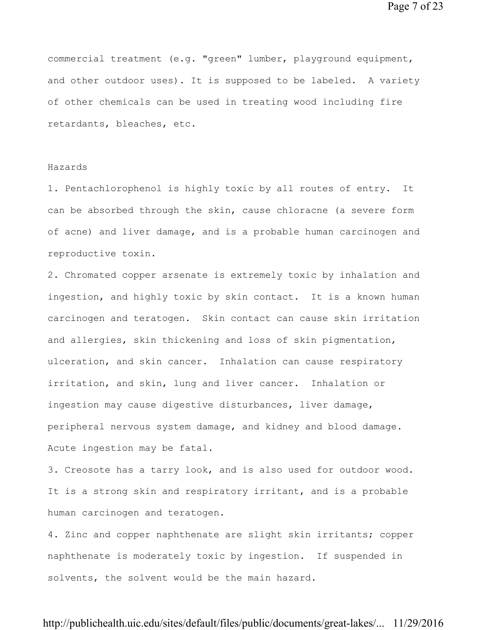Page 7 of 23

commercial treatment (e.g. "green" lumber, playground equipment, and other outdoor uses). It is supposed to be labeled. A variety of other chemicals can be used in treating wood including fire retardants, bleaches, etc.

### Hazards

1. Pentachlorophenol is highly toxic by all routes of entry. It can be absorbed through the skin, cause chloracne (a severe form of acne) and liver damage, and is a probable human carcinogen and reproductive toxin.

2. Chromated copper arsenate is extremely toxic by inhalation and ingestion, and highly toxic by skin contact. It is a known human carcinogen and teratogen. Skin contact can cause skin irritation and allergies, skin thickening and loss of skin pigmentation, ulceration, and skin cancer. Inhalation can cause respiratory irritation, and skin, lung and liver cancer. Inhalation or ingestion may cause digestive disturbances, liver damage, peripheral nervous system damage, and kidney and blood damage. Acute ingestion may be fatal.

3. Creosote has a tarry look, and is also used for outdoor wood. It is a strong skin and respiratory irritant, and is a probable human carcinogen and teratogen.

4. Zinc and copper naphthenate are slight skin irritants; copper naphthenate is moderately toxic by ingestion. If suspended in solvents, the solvent would be the main hazard.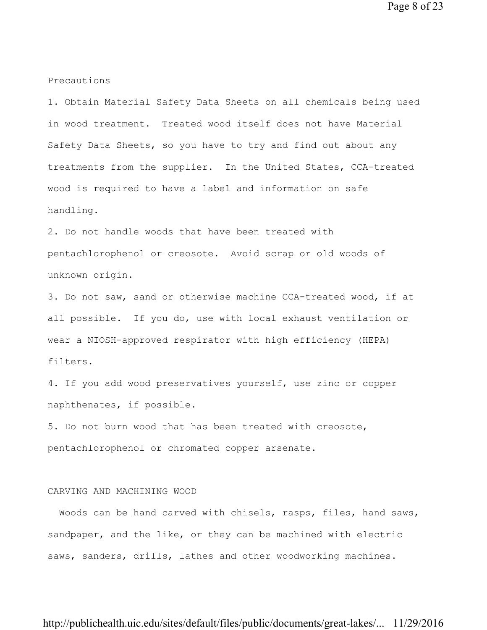Page 8 of 23

Precautions

1. Obtain Material Safety Data Sheets on all chemicals being used in wood treatment. Treated wood itself does not have Material Safety Data Sheets, so you have to try and find out about any treatments from the supplier. In the United States, CCA-treated wood is required to have a label and information on safe handling.

2. Do not handle woods that have been treated with pentachlorophenol or creosote. Avoid scrap or old woods of unknown origin.

3. Do not saw, sand or otherwise machine CCA-treated wood, if at all possible. If you do, use with local exhaust ventilation or wear a NIOSH-approved respirator with high efficiency (HEPA) filters.

4. If you add wood preservatives yourself, use zinc or copper naphthenates, if possible.

5. Do not burn wood that has been treated with creosote, pentachlorophenol or chromated copper arsenate.

### CARVING AND MACHINING WOOD

 Woods can be hand carved with chisels, rasps, files, hand saws, sandpaper, and the like, or they can be machined with electric saws, sanders, drills, lathes and other woodworking machines.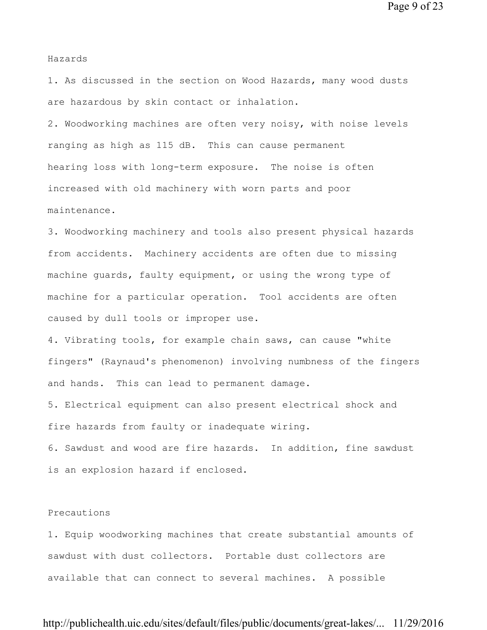Page 9 of 23

Hazards

1. As discussed in the section on Wood Hazards, many wood dusts are hazardous by skin contact or inhalation.

2. Woodworking machines are often very noisy, with noise levels ranging as high as 115 dB. This can cause permanent hearing loss with long-term exposure. The noise is often increased with old machinery with worn parts and poor maintenance.

3. Woodworking machinery and tools also present physical hazards from accidents. Machinery accidents are often due to missing machine guards, faulty equipment, or using the wrong type of machine for a particular operation. Tool accidents are often caused by dull tools or improper use.

4. Vibrating tools, for example chain saws, can cause "white fingers" (Raynaud's phenomenon) involving numbness of the fingers and hands. This can lead to permanent damage.

5. Electrical equipment can also present electrical shock and fire hazards from faulty or inadequate wiring.

6. Sawdust and wood are fire hazards. In addition, fine sawdust is an explosion hazard if enclosed.

#### Precautions

1. Equip woodworking machines that create substantial amounts of sawdust with dust collectors. Portable dust collectors are available that can connect to several machines. A possible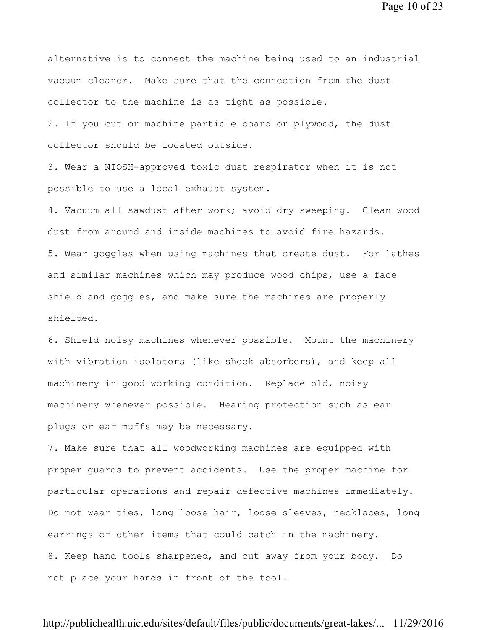Page 10 of 23

alternative is to connect the machine being used to an industrial vacuum cleaner. Make sure that the connection from the dust collector to the machine is as tight as possible.

2. If you cut or machine particle board or plywood, the dust collector should be located outside.

3. Wear a NIOSH-approved toxic dust respirator when it is not possible to use a local exhaust system.

4. Vacuum all sawdust after work; avoid dry sweeping. Clean wood dust from around and inside machines to avoid fire hazards. 5. Wear goggles when using machines that create dust. For lathes and similar machines which may produce wood chips, use a face shield and goggles, and make sure the machines are properly shielded.

6. Shield noisy machines whenever possible. Mount the machinery with vibration isolators (like shock absorbers), and keep all machinery in good working condition. Replace old, noisy machinery whenever possible. Hearing protection such as ear plugs or ear muffs may be necessary.

7. Make sure that all woodworking machines are equipped with proper guards to prevent accidents. Use the proper machine for particular operations and repair defective machines immediately. Do not wear ties, long loose hair, loose sleeves, necklaces, long earrings or other items that could catch in the machinery. 8. Keep hand tools sharpened, and cut away from your body. Do not place your hands in front of the tool.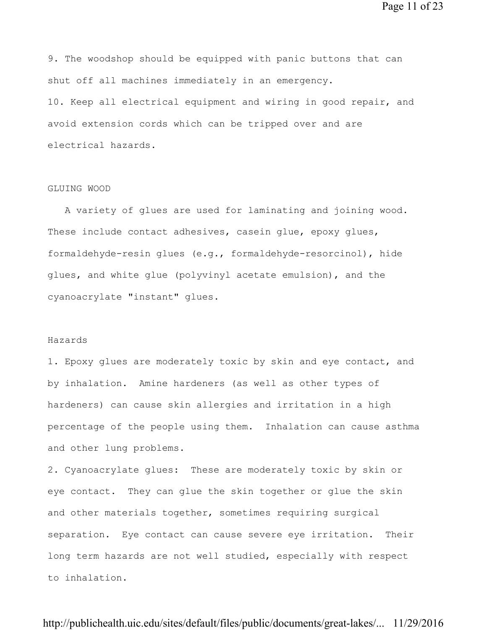Page 11 of 23

9. The woodshop should be equipped with panic buttons that can shut off all machines immediately in an emergency. 10. Keep all electrical equipment and wiring in good repair, and avoid extension cords which can be tripped over and are electrical hazards.

### GLUING WOOD

 A variety of glues are used for laminating and joining wood. These include contact adhesives, casein glue, epoxy glues, formaldehyde-resin glues (e.g., formaldehyde-resorcinol), hide glues, and white glue (polyvinyl acetate emulsion), and the cyanoacrylate "instant" glues.

#### Hazards

1. Epoxy glues are moderately toxic by skin and eye contact, and by inhalation. Amine hardeners (as well as other types of hardeners) can cause skin allergies and irritation in a high percentage of the people using them. Inhalation can cause asthma and other lung problems.

2. Cyanoacrylate glues: These are moderately toxic by skin or eye contact. They can glue the skin together or glue the skin and other materials together, sometimes requiring surgical separation. Eye contact can cause severe eye irritation. Their long term hazards are not well studied, especially with respect to inhalation.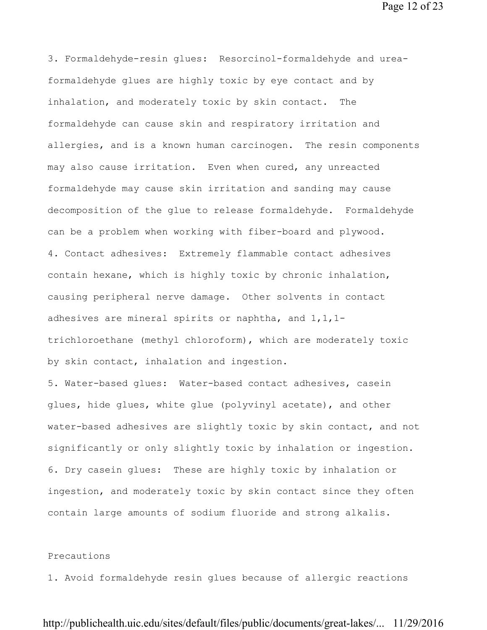Page 12 of 23

3. Formaldehyde-resin glues: Resorcinol-formaldehyde and ureaformaldehyde glues are highly toxic by eye contact and by inhalation, and moderately toxic by skin contact. The formaldehyde can cause skin and respiratory irritation and allergies, and is a known human carcinogen. The resin components may also cause irritation. Even when cured, any unreacted formaldehyde may cause skin irritation and sanding may cause decomposition of the glue to release formaldehyde. Formaldehyde can be a problem when working with fiber-board and plywood. 4. Contact adhesives: Extremely flammable contact adhesives contain hexane, which is highly toxic by chronic inhalation, causing peripheral nerve damage. Other solvents in contact adhesives are mineral spirits or naphtha, and 1,1,1 trichloroethane (methyl chloroform), which are moderately toxic by skin contact, inhalation and ingestion.

5. Water-based glues: Water-based contact adhesives, casein glues, hide glues, white glue (polyvinyl acetate), and other water-based adhesives are slightly toxic by skin contact, and not significantly or only slightly toxic by inhalation or ingestion. 6. Dry casein glues: These are highly toxic by inhalation or ingestion, and moderately toxic by skin contact since they often contain large amounts of sodium fluoride and strong alkalis.

### Precautions

1. Avoid formaldehyde resin glues because of allergic reactions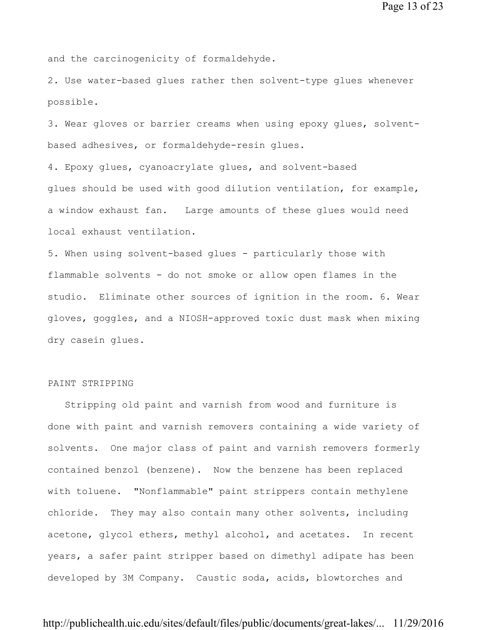and the carcinogenicity of formaldehyde.

2. Use water-based glues rather then solvent-type glues whenever possible.

3. Wear gloves or barrier creams when using epoxy glues, solventbased adhesives, or formaldehyde-resin glues.

4. Epoxy glues, cyanoacrylate glues, and solvent-based glues should be used with good dilution ventilation, for example, a window exhaust fan. Large amounts of these glues would need local exhaust ventilation.

5. When using solvent-based glues - particularly those with flammable solvents - do not smoke or allow open flames in the studio. Eliminate other sources of ignition in the room. 6. Wear gloves, goggles, and a NIOSH-approved toxic dust mask when mixing dry casein glues.

### PAINT STRIPPING

 Stripping old paint and varnish from wood and furniture is done with paint and varnish removers containing a wide variety of solvents. One major class of paint and varnish removers formerly contained benzol (benzene). Now the benzene has been replaced with toluene. "Nonflammable" paint strippers contain methylene chloride. They may also contain many other solvents, including acetone, glycol ethers, methyl alcohol, and acetates. In recent years, a safer paint stripper based on dimethyl adipate has been developed by 3M Company. Caustic soda, acids, blowtorches and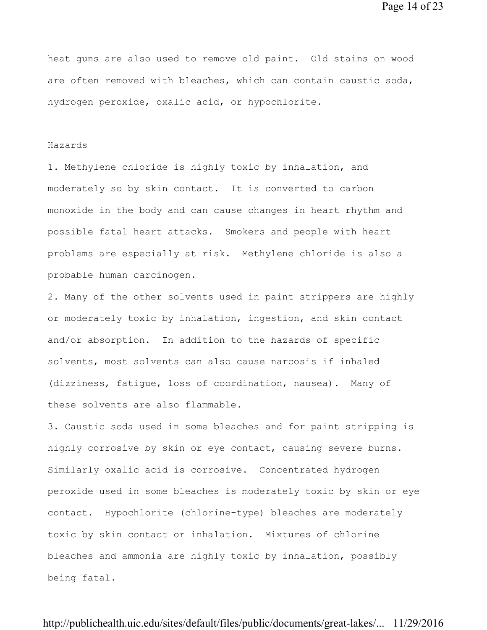Page 14 of 23

heat guns are also used to remove old paint. Old stains on wood are often removed with bleaches, which can contain caustic soda, hydrogen peroxide, oxalic acid, or hypochlorite.

#### Hazards

1. Methylene chloride is highly toxic by inhalation, and moderately so by skin contact. It is converted to carbon monoxide in the body and can cause changes in heart rhythm and possible fatal heart attacks. Smokers and people with heart problems are especially at risk. Methylene chloride is also a probable human carcinogen.

2. Many of the other solvents used in paint strippers are highly or moderately toxic by inhalation, ingestion, and skin contact and/or absorption. In addition to the hazards of specific solvents, most solvents can also cause narcosis if inhaled (dizziness, fatigue, loss of coordination, nausea). Many of these solvents are also flammable.

3. Caustic soda used in some bleaches and for paint stripping is highly corrosive by skin or eye contact, causing severe burns. Similarly oxalic acid is corrosive. Concentrated hydrogen peroxide used in some bleaches is moderately toxic by skin or eye contact. Hypochlorite (chlorine-type) bleaches are moderately toxic by skin contact or inhalation. Mixtures of chlorine bleaches and ammonia are highly toxic by inhalation, possibly being fatal.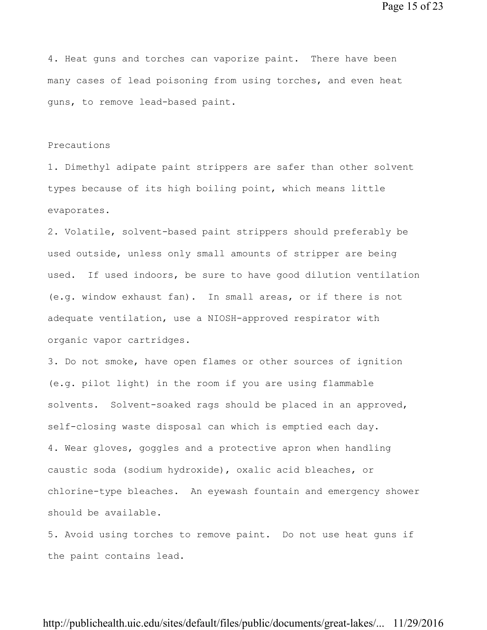Page 15 of 23

4. Heat guns and torches can vaporize paint. There have been many cases of lead poisoning from using torches, and even heat guns, to remove lead-based paint.

### Precautions

1. Dimethyl adipate paint strippers are safer than other solvent types because of its high boiling point, which means little evaporates.

2. Volatile, solvent-based paint strippers should preferably be used outside, unless only small amounts of stripper are being used. If used indoors, be sure to have good dilution ventilation (e.g. window exhaust fan). In small areas, or if there is not adequate ventilation, use a NIOSH-approved respirator with organic vapor cartridges.

3. Do not smoke, have open flames or other sources of ignition (e.g. pilot light) in the room if you are using flammable solvents. Solvent-soaked rags should be placed in an approved, self-closing waste disposal can which is emptied each day. 4. Wear gloves, goggles and a protective apron when handling caustic soda (sodium hydroxide), oxalic acid bleaches, or chlorine-type bleaches. An eyewash fountain and emergency shower should be available.

5. Avoid using torches to remove paint. Do not use heat guns if the paint contains lead.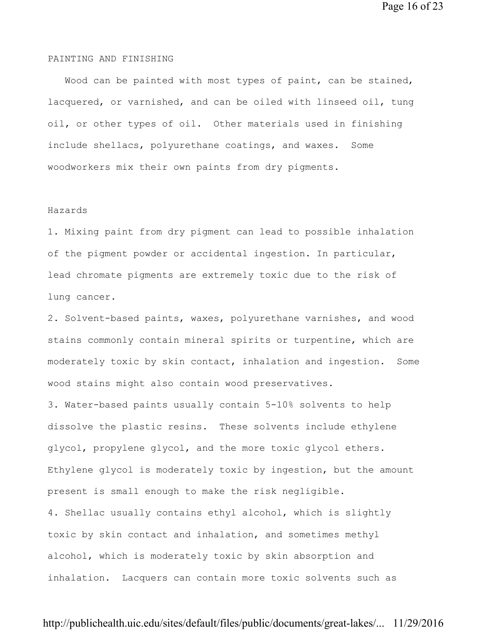Page 16 of 23

#### PAINTING AND FINISHING

 Wood can be painted with most types of paint, can be stained, lacquered, or varnished, and can be oiled with linseed oil, tung oil, or other types of oil. Other materials used in finishing include shellacs, polyurethane coatings, and waxes. Some woodworkers mix their own paints from dry pigments.

#### Hazards

1. Mixing paint from dry pigment can lead to possible inhalation of the pigment powder or accidental ingestion. In particular, lead chromate pigments are extremely toxic due to the risk of lung cancer.

2. Solvent-based paints, waxes, polyurethane varnishes, and wood stains commonly contain mineral spirits or turpentine, which are moderately toxic by skin contact, inhalation and ingestion. Some wood stains might also contain wood preservatives.

3. Water-based paints usually contain 5-10% solvents to help dissolve the plastic resins. These solvents include ethylene glycol, propylene glycol, and the more toxic glycol ethers. Ethylene glycol is moderately toxic by ingestion, but the amount present is small enough to make the risk negligible. 4. Shellac usually contains ethyl alcohol, which is slightly toxic by skin contact and inhalation, and sometimes methyl alcohol, which is moderately toxic by skin absorption and inhalation. Lacquers can contain more toxic solvents such as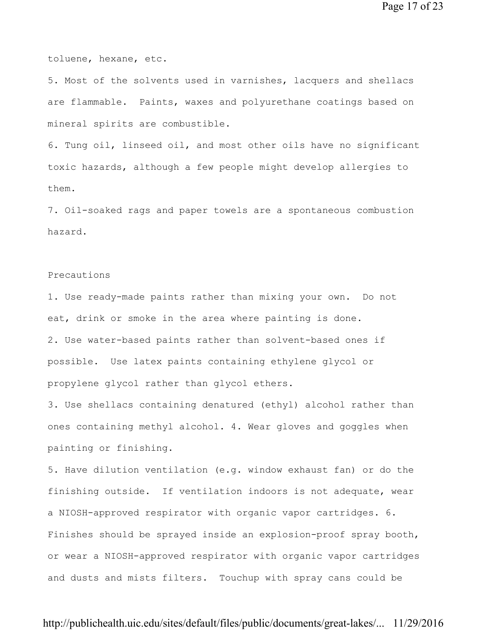toluene, hexane, etc.

5. Most of the solvents used in varnishes, lacquers and shellacs are flammable. Paints, waxes and polyurethane coatings based on mineral spirits are combustible.

6. Tung oil, linseed oil, and most other oils have no significant toxic hazards, although a few people might develop allergies to them.

7. Oil-soaked rags and paper towels are a spontaneous combustion hazard.

### Precautions

1. Use ready-made paints rather than mixing your own. Do not eat, drink or smoke in the area where painting is done. 2. Use water-based paints rather than solvent-based ones if possible. Use latex paints containing ethylene glycol or propylene glycol rather than glycol ethers.

3. Use shellacs containing denatured (ethyl) alcohol rather than ones containing methyl alcohol. 4. Wear gloves and goggles when painting or finishing.

5. Have dilution ventilation (e.g. window exhaust fan) or do the finishing outside. If ventilation indoors is not adequate, wear a NIOSH-approved respirator with organic vapor cartridges. 6. Finishes should be sprayed inside an explosion-proof spray booth, or wear a NIOSH-approved respirator with organic vapor cartridges and dusts and mists filters. Touchup with spray cans could be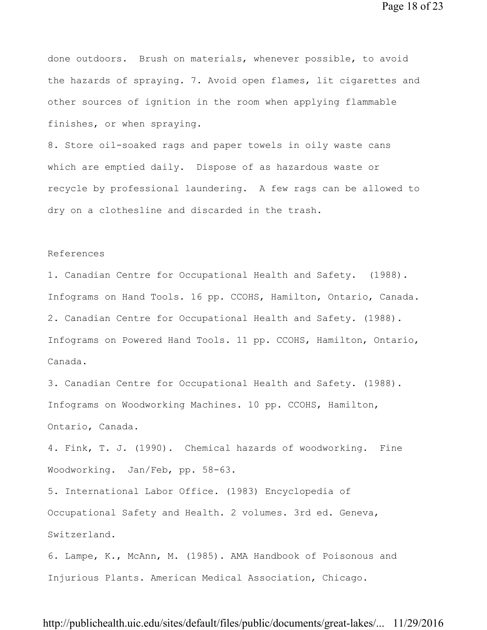Page 18 of 23

done outdoors. Brush on materials, whenever possible, to avoid the hazards of spraying. 7. Avoid open flames, lit cigarettes and other sources of ignition in the room when applying flammable finishes, or when spraying.

8. Store oil-soaked rags and paper towels in oily waste cans which are emptied daily. Dispose of as hazardous waste or recycle by professional laundering. A few rags can be allowed to dry on a clothesline and discarded in the trash.

#### References

1. Canadian Centre for Occupational Health and Safety. (1988). Infograms on Hand Tools. 16 pp. CCOHS, Hamilton, Ontario, Canada. 2. Canadian Centre for Occupational Health and Safety. (1988). Infograms on Powered Hand Tools. 11 pp. CCOHS, Hamilton, Ontario, Canada.

3. Canadian Centre for Occupational Health and Safety. (1988). Infograms on Woodworking Machines. 10 pp. CCOHS, Hamilton, Ontario, Canada.

4. Fink, T. J. (1990). Chemical hazards of woodworking. Fine Woodworking. Jan/Feb, pp. 58-63.

5. International Labor Office. (1983) Encyclopedia of Occupational Safety and Health. 2 volumes. 3rd ed. Geneva, Switzerland.

6. Lampe, K., McAnn, M. (1985). AMA Handbook of Poisonous and Injurious Plants. American Medical Association, Chicago.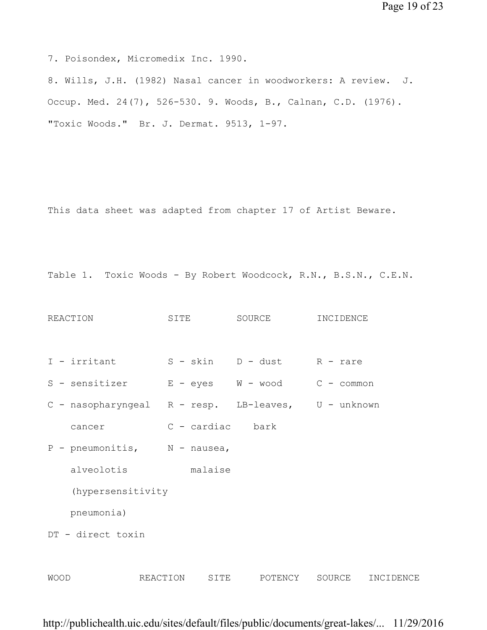Page 19 of 23

7. Poisondex, Micromedix Inc. 1990.

8. Wills, J.H. (1982) Nasal cancer in woodworkers: A review. J. Occup. Med. 24(7), 526-530. 9. Woods, B., Calnan, C.D. (1976). "Toxic Woods." Br. J. Dermat. 9513, 1-97.

This data sheet was adapted from chapter 17 of Artist Beware.

Table 1. Toxic Woods - By Robert Woodcock, R.N., B.S.N., C.E.N.

```
REACTION SITE SOURCE INCIDENCE
I - irritant S - skin D - dust R - rare
S - sensitizer E - eyes W - wood C - common
C - nasopharyngeal R - resp. LB-leaves, U - unknown 
  cancer C - cardiac bark
P - pneumonitis, N - nausea,
    alveolotis malaise 
   (hypersensitivity 
   pneumonia) 
DT - direct toxin 
WOOD REACTION SITE POTENCY SOURCE INCIDENCE
```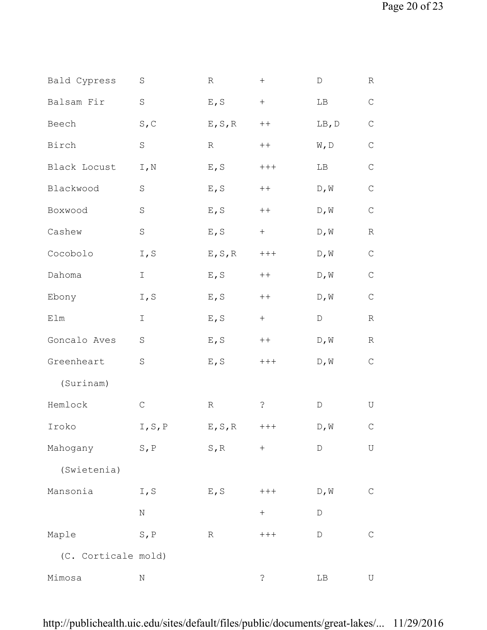| Bald Cypress        | S                           | R               | $\boldsymbol{+}$                 | D                                 | R           |
|---------------------|-----------------------------|-----------------|----------------------------------|-----------------------------------|-------------|
| Balsam Fir          | $\rm S$                     | E, S            | $\boldsymbol{+}$                 | LB                                | $\mathsf C$ |
| Beech               | S, C                        | $E$ , $S$ , $R$ | $++$                             | LB, D                             | $\mathsf C$ |
| Birch               | $\mathbf S$                 | R               | $++$                             | $\mathbbmss{N}$ , $\mathbbmss{D}$ | $\mathsf C$ |
| Black Locust        | $\mathtt{I}$ , $\mathtt{N}$ | $E$ , S         | $++++$                           | LB                                | $\mathsf C$ |
| Blackwood           | $\rm S$                     | $E$ , S         | $\boldsymbol{++}$                | $\mathbb D$ , $\mathbb W$         | $\mathsf C$ |
| Boxwood             | $\rm S$                     | E, S            | $++$                             | D, W                              | $\mathsf C$ |
| Cashew              | $\rm S$                     | E, S            | $+$                              | D, W                              | $\mathbb R$ |
| Cocobolo            | I, S                        | $E$ , $S$ , $R$ | $++++$                           | D, W                              | $\mathsf C$ |
| Dahoma              | I                           | E, S            | $\boldsymbol{++}$                | D, W                              | $\mathsf C$ |
| Ebony               | I, S                        | E, S            | $\boldsymbol{++}$                | D, W                              | $\mathsf C$ |
| Elm                 | Ι                           | E, S            | $+$                              | D                                 | $\mathbb R$ |
| Goncalo Aves        | $\rm S$                     | E, S            | $++$                             | D, W                              | $\mathbb R$ |
| Greenheart          | $\rm S$                     | $E$ , S         | $+++$                            | $D$ , $W$                         | $\mathsf C$ |
| (Surinam)           |                             |                 |                                  |                                   |             |
| Hemlock             | $\mathsf C$                 | $\mathbb R$     | $\dot{\cdot}$                    | $\mathbb D$                       | U           |
| Iroko               | I, S, P                     | E, S, R         | $++++$                           | D, W                              | $\mathsf C$ |
| Mahogany            | $S$ , $P$                   | $S$ , $R$       | $^{+}$                           | D                                 | U           |
| (Swietenia)         |                             |                 |                                  |                                   |             |
| Mansonia            | I, S                        | E, S            | $++++$                           | $\mathbb D$ , $\mathbb W$         | $\mathsf C$ |
|                     | $\rm N$                     |                 | $\begin{array}{c} + \end{array}$ | D                                 |             |
| Maple               | $S$ , $P$                   | $\mathbb R$     | $++++$                           | D                                 | $\mathsf C$ |
| (C. Corticale mold) |                             |                 |                                  |                                   |             |
| Mimosa              | Ν                           |                 | $\mathcal{E}$                    | $\rm LB$                          | U           |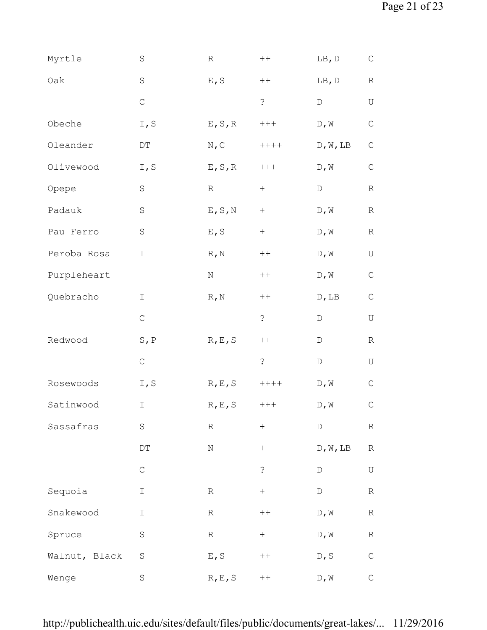| Myrtle        | $\rm S$                    | R                | $\boldsymbol{++}$ | LB, D                                 | $\mathsf{C}$ |
|---------------|----------------------------|------------------|-------------------|---------------------------------------|--------------|
| Oak           | $\rm S$                    | $E$ , S          | $++$              | LB, D                                 | $\mathbb R$  |
|               | $\mathsf C$                |                  | $\ddot{\cdot}$    | $\mathbb D$                           | U            |
| Obeche        | I, S                       | $E$ , $S$ , $R$  | $++++$            | D, W                                  | $\mathsf C$  |
| Oleander      | $\mathop{\rm DT}\nolimits$ | N, C             | $+++++$           | D, W, LB                              | $\mathsf C$  |
| Olivewood     | I, S                       | $E$ , $S$ , $R$  | $++++$            | $\mathbb D$ , $\mathbb W$             | $\mathbf C$  |
| Opepe         | $\mathbf S$                | $\mathbb R$      | $+$               | D                                     | $\mathbb R$  |
| Padauk        | $\rm S$                    | $E$ , $S$ , $N$  | $+$               | $\mathbb D$ , $\mathbb W$             | $\mathbb R$  |
| Pau Ferro     | $\rm S$                    | E, S             | $+$               | $\mathbb D$ , $\mathbb W$             | $\mathbb R$  |
| Peroba Rosa   | $\mathbbm{I}$              | $R$ , N          | $\boldsymbol{++}$ | D, W                                  | U            |
| Purpleheart   |                            | $_{\rm N}$       | $++$              | D, W                                  | $\mathsf C$  |
| Quebracho     | I                          | $R$ , N          | $++$              | $\mathbb{D}$ , $\mathbb{L}\mathbb{B}$ | $\mathsf C$  |
|               | $\mathsf C$                |                  | $\mathcal{S}$     | $\mathbb D$                           | U            |
| Redwood       | $S$ , $P$                  | R, E, S          | $++$              | $\mathbb D$                           | $\mathbb R$  |
|               | $\mathsf C$                |                  | $\mathcal{S}$     | $\mathbb D$                           | U            |
| Rosewoods     | I, S                       | $R$ , $E$ , $S$  | $+++++$           | D, W                                  | $\mathsf C$  |
| Satinwood     | I                          | R, E, S          | $++++$            | D, W                                  | $\mathsf C$  |
| Sassafras     | $\rm S$                    | $\, {\mathbb R}$ | $\! + \!$         | D                                     | $\mathbb R$  |
|               | $\mathop{\rm DT}\nolimits$ | $\rm N$          | $\boldsymbol{+}$  | D, W, LB                              | R            |
|               | $\mathsf C$                |                  | $\mathcal{E}$     | $\mathbb D$                           | U            |
| Sequoia       | $\mathbbm{I}$              | $\mathbb R$      | $\boldsymbol{+}$  | $\mathbb D$                           | $\mathbb R$  |
| Snakewood     | I                          | $\mathbb R$      | $\, + \, +$       | $\mathbb D$ , $\mathbb W$             | $\mathbb R$  |
| Spruce        | $\rm S$                    | $\, {\mathbb R}$ | $\boldsymbol{+}$  | $\mathbb{D}$ , $\mathbb{W}$           | R            |
| Walnut, Black | $\rm S$                    | E, S             | $++$              | D, S                                  | $\mathsf C$  |
| Wenge         | $\rm S$                    | R, E, S          | $++$              | $\mathbb{D}$ , $\mathbb{W}$           | $\mathsf C$  |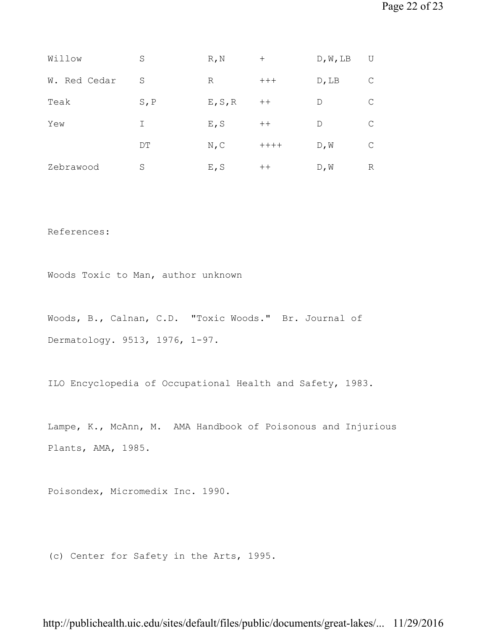| Willow       | S         | $R$ , $N$ | $^{+}$  | D, W, LB    | U |
|--------------|-----------|-----------|---------|-------------|---|
| W. Red Cedar | S         | R         | $+++$   | $D$ , LB    |   |
| Teak         | $S$ , $P$ | E, S, R   | $++$    | D           |   |
| Yew          | Ι         | E, S      | $++$    | $\mathbb D$ | C |
|              | DТ        | N, C      | $+++++$ | D, W        | C |
| Zebrawood    | S         | E, S      | $++$    | D, W        | R |

References:

Woods Toxic to Man, author unknown

Woods, B., Calnan, C.D. "Toxic Woods." Br. Journal of Dermatology. 9513, 1976, 1-97.

ILO Encyclopedia of Occupational Health and Safety, 1983.

Lampe, K., McAnn, M. AMA Handbook of Poisonous and Injurious Plants, AMA, 1985.

Poisondex, Micromedix Inc. 1990.

(c) Center for Safety in the Arts, 1995.